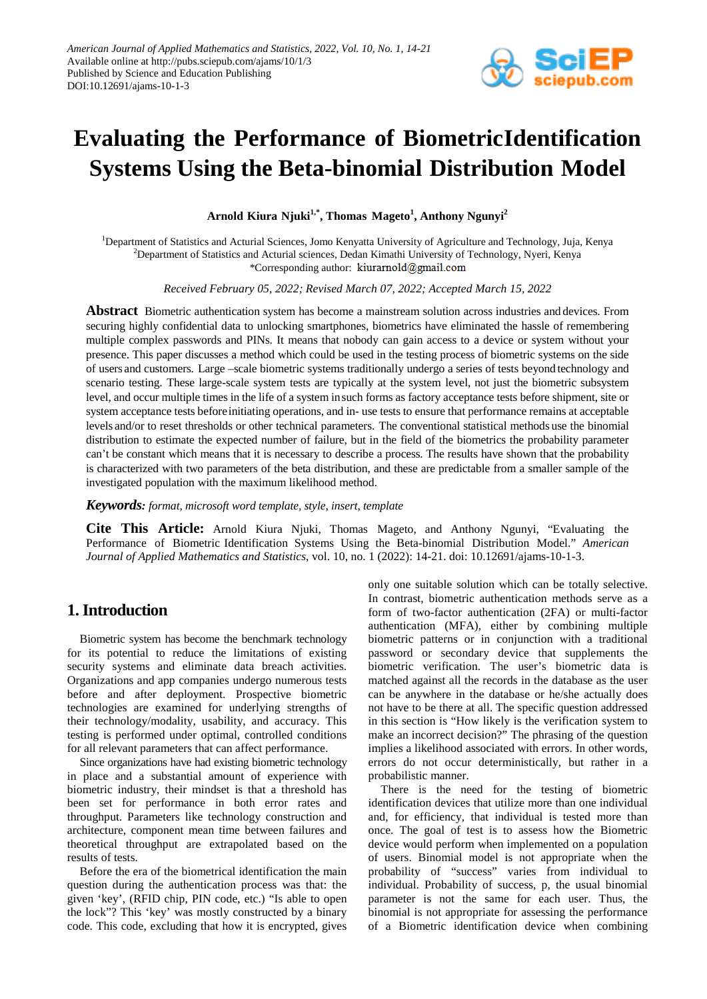

# **Evaluating the Performance of BiometricIdentification Systems Using the Beta-binomial Distribution Model**

**Arnold Kiura Njuki1,\* , Thomas Mageto<sup>1</sup> , Anthony Ngunyi2**

<sup>1</sup>Department of Statistics and Acturial Sciences, Jomo Kenyatta University of Agriculture and Technology, Juja, Kenya <sup>2</sup>Department of Statistics and Acturial sciences, Dedan Kimathi University of Technology, Nyeri, Kenya \*Corresponding author: kiurarnold@gmail.com

*Received February 05, 2022; Revised March 07, 2022; Accepted March 15, 2022*

**Abstract** Biometric authentication system has become a mainstream solution across industries and devices. From securing highly confidential data to unlocking smartphones, biometrics have eliminated the hassle of remembering multiple complex passwords and PINs. It means that nobody can gain access to a device or system without your presence. This paper discusses a method which could be used in the testing process of biometric systems on the side of users and customers. Large –scale biometric systems traditionally undergo a series of tests beyond technology and scenario testing. These large-scale system tests are typically at the system level, not just the biometric subsystem level, and occur multiple times in the life of a system insuch forms as factory acceptance tests before shipment, site or system acceptance tests beforeinitiating operations, and in- use tests to ensure that performance remains at acceptable levels and/or to reset thresholds or other technical parameters. The conventional statistical methods use the binomial distribution to estimate the expected number of failure, but in the field of the biometrics the probability parameter can't be constant which means that it is necessary to describe a process. The results have shown that the probability is characterized with two parameters of the beta distribution, and these are predictable from a smaller sample of the investigated population with the maximum likelihood method.

*Keywords: format, microsoft word template, style, insert, template*

**Cite This Article:** Arnold Kiura Njuki, Thomas Mageto, and Anthony Ngunyi, "Evaluating the Performance of Biometric Identification Systems Using the Beta-binomial Distribution Model." *American Journal of Applied Mathematics and Statistics*, vol. 10, no. 1 (2022): 14-21. doi: 10.12691/ajams-10-1-3.

# **1. Introduction**

Biometric system has become the benchmark technology for its potential to reduce the limitations of existing security systems and eliminate data breach activities. Organizations and app companies undergo numerous tests before and after deployment. Prospective biometric technologies are examined for underlying strengths of their technology/modality, usability, and accuracy. This testing is performed under optimal, controlled conditions for all relevant parameters that can affect performance.

Since organizations have had existing biometric technology in place and a substantial amount of experience with biometric industry, their mindset is that a threshold has been set for performance in both error rates and throughput. Parameters like technology construction and architecture, component mean time between failures and theoretical throughput are extrapolated based on the results of tests.

Before the era of the biometrical identification the main question during the authentication process was that: the given 'key', (RFID chip, PIN code, etc.) "Is able to open the lock"? This 'key' was mostly constructed by a binary code. This code, excluding that how it is encrypted, gives only one suitable solution which can be totally selective. In contrast, biometric authentication methods serve as a form of two-factor authentication (2FA) or multi-factor authentication (MFA), either by combining multiple biometric patterns or in conjunction with a traditional password or secondary device that supplements the biometric verification. The user's biometric data is matched against all the records in the database as the user can be anywhere in the database or he/she actually does not have to be there at all. The specific question addressed in this section is "How likely is the verification system to make an incorrect decision?" The phrasing of the question implies a likelihood associated with errors. In other words, errors do not occur deterministically, but rather in a probabilistic manner.

There is the need for the testing of biometric identification devices that utilize more than one individual and, for efficiency, that individual is tested more than once. The goal of test is to assess how the Biometric device would perform when implemented on a population of users. Binomial model is not appropriate when the probability of "success" varies from individual to individual. Probability of success, p, the usual binomial parameter is not the same for each user. Thus, the binomial is not appropriate for assessing the performance of a Biometric identification device when combining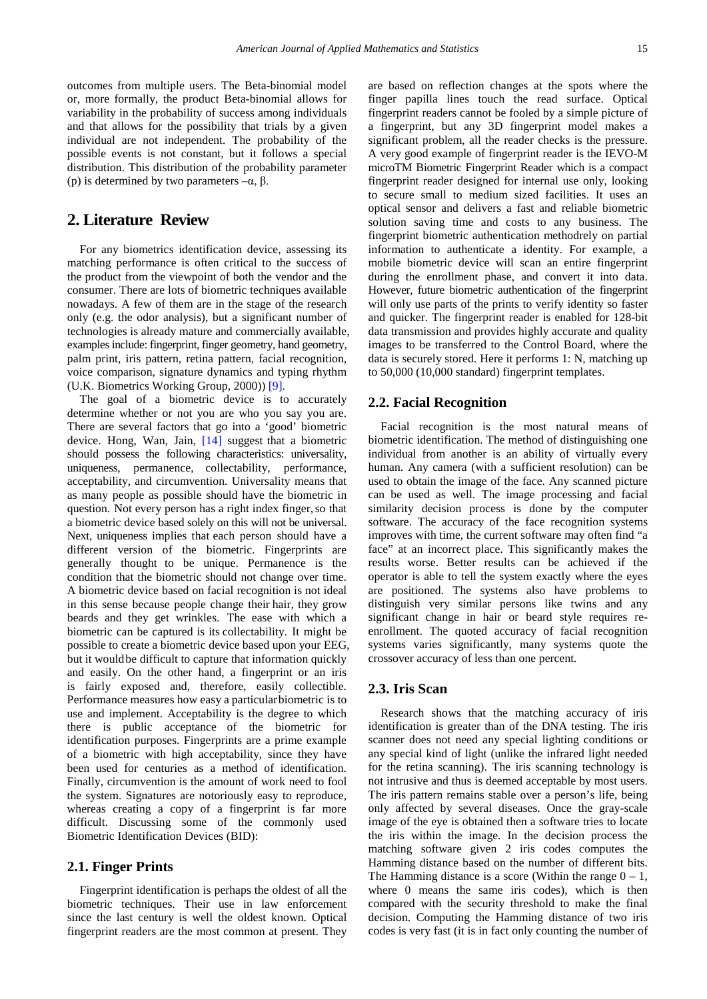outcomes from multiple users. The Beta-binomial model or, more formally, the product Beta-binomial allows for variability in the probability of success among individuals and that allows for the possibility that trials by a given individual are not independent. The probability of the possible events is not constant, but it follows a special distribution. This distribution of the probability parameter (p) is determined by two parameters  $-\alpha$ , β.

# **2. Literature Review**

For any biometrics identification device, assessing its matching performance is often critical to the success of the product from the viewpoint of both the vendor and the consumer. There are lots of biometric techniques available nowadays. A few of them are in the stage of the research only (e.g. the odor analysis), but a significant number of technologies is already mature and commercially available, examples include: fingerprint, finger geometry, hand geometry, palm print, iris pattern, retina pattern, facial recognition, voice comparison, signature dynamics and typing rhythm (U.K. Biometrics Working Group, 2000)) [\[9\].](#page-7-0)

The goal of a biometric device is to accurately determine whether or not you are who you say you are. There are several factors that go into a 'good' biometric device. Hong, Wan, Jain, [\[14\]](#page-7-1) suggest that a biometric should possess the following characteristics: universality, uniqueness, permanence, collectability, performance, acceptability, and circumvention. Universality means that as many people as possible should have the biometric in question. Not every person has a right index finger, so that a biometric device based solely on this will not be universal. Next, uniqueness implies that each person should have a different version of the biometric. Fingerprints are generally thought to be unique. Permanence is the condition that the biometric should not change over time. A biometric device based on facial recognition is not ideal in this sense because people change their hair, they grow beards and they get wrinkles. The ease with which a biometric can be captured is its collectability. It might be possible to create a biometric device based upon your EEG, but it wouldbe difficult to capture that information quickly and easily. On the other hand, a fingerprint or an iris is fairly exposed and, therefore, easily collectible. Performance measures how easy a particularbiometric is to use and implement. Acceptability is the degree to which there is public acceptance of the biometric for identification purposes. Fingerprints are a prime example of a biometric with high acceptability, since they have been used for centuries as a method of identification. Finally, circumvention is the amount of work need to fool the system. Signatures are notoriously easy to reproduce, whereas creating a copy of a fingerprint is far more difficult. Discussing some of the commonly used Biometric Identification Devices (BID):

#### **2.1. Finger Prints**

Fingerprint identification is perhaps the oldest of all the biometric techniques. Their use in law enforcement since the last century is well the oldest known. Optical fingerprint readers are the most common at present. They are based on reflection changes at the spots where the finger papilla lines touch the read surface. Optical fingerprint readers cannot be fooled by a simple picture of a fingerprint, but any 3D fingerprint model makes a significant problem, all the reader checks is the pressure. A very good example of fingerprint reader is the IEVO-M microTM Biometric Fingerprint Reader which is a compact fingerprint reader designed for internal use only, looking to secure small to medium sized facilities. It uses an optical sensor and delivers a fast and reliable biometric solution saving time and costs to any business. The fingerprint biometric authentication methodrely on partial information to authenticate a identity. For example, a mobile biometric device will scan an entire fingerprint during the enrollment phase, and convert it into data. However, future biometric authentication of the fingerprint will only use parts of the prints to verify identity so faster and quicker. The fingerprint reader is enabled for 128-bit data transmission and provides highly accurate and quality images to be transferred to the Control Board, where the data is securely stored. Here it performs 1: N, matching up to 50,000 (10,000 standard) fingerprint templates.

#### **2.2. Facial Recognition**

Facial recognition is the most natural means of biometric identification. The method of distinguishing one individual from another is an ability of virtually every human. Any camera (with a sufficient resolution) can be used to obtain the image of the face. Any scanned picture can be used as well. The image processing and facial similarity decision process is done by the computer software. The accuracy of the face recognition systems improves with time, the current software may often find "a face" at an incorrect place. This significantly makes the results worse. Better results can be achieved if the operator is able to tell the system exactly where the eyes are positioned. The systems also have problems to distinguish very similar persons like twins and any significant change in hair or beard style requires reenrollment. The quoted accuracy of facial recognition systems varies significantly, many systems quote the crossover accuracy of less than one percent.

#### **2.3. Iris Scan**

Research shows that the matching accuracy of iris identification is greater than of the DNA testing. The iris scanner does not need any special lighting conditions or any special kind of light (unlike the infrared light needed for the retina scanning). The iris scanning technology is not intrusive and thus is deemed acceptable by most users. The iris pattern remains stable over a person's life, being only affected by several diseases. Once the gray-scale image of the eye is obtained then a software tries to locate the iris within the image. In the decision process the matching software given 2 iris codes computes the Hamming distance based on the number of different bits. The Hamming distance is a score (Within the range  $0 - 1$ , where 0 means the same iris codes), which is then compared with the security threshold to make the final decision. Computing the Hamming distance of two iris codes is very fast (it is in fact only counting the number of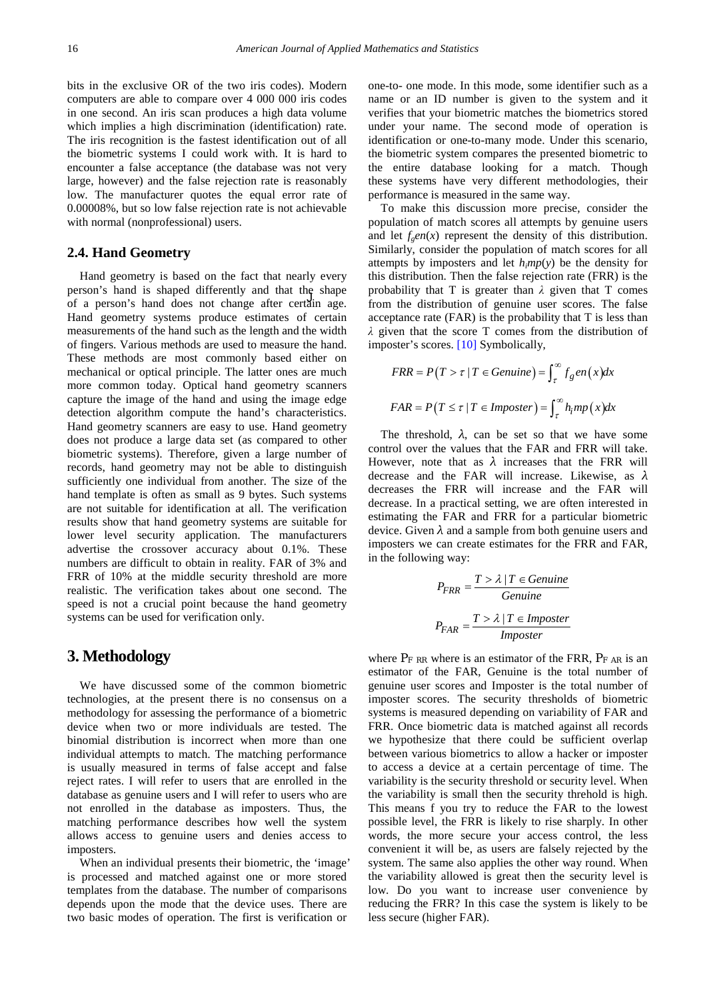bits in the exclusive OR of the two iris codes). Modern computers are able to compare over 4 000 000 iris codes in one second. An iris scan produces a high data volume which implies a high discrimination (identification) rate. The iris recognition is the fastest identification out of all the biometric systems I could work with. It is hard to encounter a false acceptance (the database was not very large, however) and the false rejection rate is reasonably low. The manufacturer quotes the equal error rate of 0.00008%, but so low false rejection rate is not achievable with normal (nonprofessional) users.

#### **2.4. Hand Geometry**

of a person's hand does not change after certain age. Hand geometry is based on the fact that nearly every person's hand is shaped differently and that the shape Hand geometry systems produce estimates of certain measurements of the hand such as the length and the width of fingers. Various methods are used to measure the hand. These methods are most commonly based either on mechanical or optical principle. The latter ones are much more common today. Optical hand geometry scanners capture the image of the hand and using the image edge detection algorithm compute the hand's characteristics. Hand geometry scanners are easy to use. Hand geometry does not produce a large data set (as compared to other biometric systems). Therefore, given a large number of records, hand geometry may not be able to distinguish sufficiently one individual from another. The size of the hand template is often as small as 9 bytes. Such systems are not suitable for identification at all. The verification results show that hand geometry systems are suitable for lower level security application. The manufacturers advertise the crossover accuracy about 0.1%. These numbers are difficult to obtain in reality. FAR of 3% and FRR of 10% at the middle security threshold are more realistic. The verification takes about one second. The speed is not a crucial point because the hand geometry systems can be used for verification only.

#### **3. Methodology**

We have discussed some of the common biometric technologies, at the present there is no consensus on a methodology for assessing the performance of a biometric device when two or more individuals are tested. The binomial distribution is incorrect when more than one individual attempts to match. The matching performance is usually measured in terms of false accept and false reject rates. I will refer to users that are enrolled in the database as genuine users and I will refer to users who are not enrolled in the database as imposters. Thus, the matching performance describes how well the system allows access to genuine users and denies access to imposters.

When an individual presents their biometric, the 'image' is processed and matched against one or more stored templates from the database. The number of comparisons depends upon the mode that the device uses. There are two basic modes of operation. The first is verification or

one-to- one mode. In this mode, some identifier such as a name or an ID number is given to the system and it verifies that your biometric matches the biometrics stored under your name. The second mode of operation is identification or one-to-many mode. Under this scenario, the biometric system compares the presented biometric to the entire database looking for a match. Though these systems have very different methodologies, their performance is measured in the same way.

To make this discussion more precise, consider the population of match scores all attempts by genuine users and let  $f_{e}en(x)$  represent the density of this distribution. Similarly, consider the population of match scores for all attempts by imposters and let *himp*(*y*) be the density for this distribution. Then the false rejection rate (FRR) is the probability that T is greater than *λ* given that T comes from the distribution of genuine user scores. The false acceptance rate (FAR) is the probability that T is less than *λ* given that the score T comes from the distribution of imposter's scores. [\[10\]](#page-7-2) Symbolically,

$$
FRR = P(T > \tau | T \in Genuine) = \int_{\tau}^{\infty} f_g en(x) dx
$$

$$
FAR = P(T \le \tau | T \in Imposter) = \int_{\tau}^{\infty} h_i mp(x) dx
$$

The threshold,  $\lambda$ , can be set so that we have some control over the values that the FAR and FRR will take. However, note that as  $\lambda$  increases that the FRR will decrease and the FAR will increase. Likewise, as *λ*  decreases the FRR will increase and the FAR will decrease. In a practical setting, we are often interested in estimating the FAR and FRR for a particular biometric device. Given  $\lambda$  and a sample from both genuine users and imposters we can create estimates for the FRR and FAR, in the following way:

$$
P_{FRR} = \frac{T > \lambda \mid T \in Genuine}{Genuine}
$$

$$
P_{FAR} = \frac{T > \lambda \mid T \in Imposter}{Imposter}
$$

where  $P_F$  *RR* where is an estimator of the FRR,  $P_F$  *AR* is an estimator of the FAR, Genuine is the total number of genuine user scores and Imposter is the total number of imposter scores. The security thresholds of biometric systems is measured depending on variability of FAR and FRR. Once biometric data is matched against all records we hypothesize that there could be sufficient overlap between various biometrics to allow a hacker or imposter to access a device at a certain percentage of time. The variability is the security threshold or security level. When the variability is small then the security threhold is high. This means f you try to reduce the FAR to the lowest possible level, the FRR is likely to rise sharply. In other words, the more secure your access control, the less convenient it will be, as users are falsely rejected by the system. The same also applies the other way round. When the variability allowed is great then the security level is low. Do you want to increase user convenience by reducing the FRR? In this case the system is likely to be less secure (higher FAR).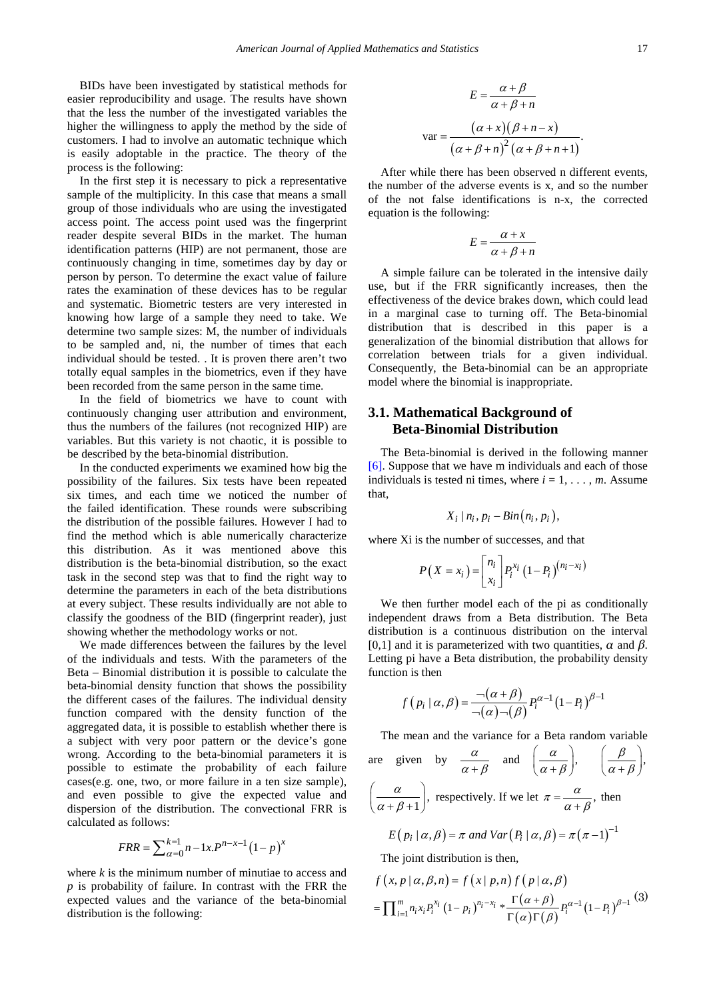BIDs have been investigated by statistical methods for easier reproducibility and usage. The results have shown that the less the number of the investigated variables the higher the willingness to apply the method by the side of customers. I had to involve an automatic technique which is easily adoptable in the practice. The theory of the process is the following:

In the first step it is necessary to pick a representative sample of the multiplicity. In this case that means a small group of those individuals who are using the investigated access point. The access point used was the fingerprint reader despite several BIDs in the market. The human identification patterns (HIP) are not permanent, those are continuously changing in time, sometimes day by day or person by person. To determine the exact value of failure rates the examination of these devices has to be regular and systematic. Biometric testers are very interested in knowing how large of a sample they need to take. We determine two sample sizes: M, the number of individuals to be sampled and, ni, the number of times that each individual should be tested. . It is proven there aren't two totally equal samples in the biometrics, even if they have been recorded from the same person in the same time.

In the field of biometrics we have to count with continuously changing user attribution and environment, thus the numbers of the failures (not recognized HIP) are variables. But this variety is not chaotic, it is possible to be described by the beta-binomial distribution.

In the conducted experiments we examined how big the possibility of the failures. Six tests have been repeated six times, and each time we noticed the number of the failed identification. These rounds were subscribing the distribution of the possible failures. However I had to find the method which is able numerically characterize this distribution. As it was mentioned above this distribution is the beta-binomial distribution, so the exact task in the second step was that to find the right way to determine the parameters in each of the beta distributions at every subject. These results individually are not able to classify the goodness of the BID (fingerprint reader), just showing whether the methodology works or not.

We made differences between the failures by the level of the individuals and tests. With the parameters of the Beta – Binomial distribution it is possible to calculate the beta-binomial density function that shows the possibility the different cases of the failures. The individual density function compared with the density function of the aggregated data, it is possible to establish whether there is a subject with very poor pattern or the device's gone wrong. According to the beta-binomial parameters it is possible to estimate the probability of each failure cases(e.g. one, two, or more failure in a ten size sample), and even possible to give the expected value and dispersion of the distribution. The convectional FRR is calculated as follows:

$$
FRR = \sum_{\alpha=0}^{k=1} n - 1x P^{n-x-1} (1-p)^{x}
$$

where *k* is the minimum number of minutiae to access and *p* is probability of failure. In contrast with the FRR the expected values and the variance of the beta-binomial distribution is the following:

$$
E = \frac{\alpha + \beta}{\alpha + \beta + n}
$$

$$
var = \frac{(\alpha + x)(\beta + n - x)}{(\alpha + \beta + n)^2 (\alpha + \beta + n + 1)}.
$$

After while there has been observed n different events, the number of the adverse events is x, and so the number of the not false identifications is n-x, the corrected equation is the following:

$$
E = \frac{\alpha + x}{\alpha + \beta + n}
$$

A simple failure can be tolerated in the intensive daily use, but if the FRR significantly increases, then the effectiveness of the device brakes down, which could lead in a marginal case to turning off. The Beta-binomial distribution that is described in this paper is a generalization of the binomial distribution that allows for correlation between trials for a given individual. Consequently, the Beta-binomial can be an appropriate model where the binomial is inappropriate.

### **3.1. Mathematical Background of Beta-Binomial Distribution**

The Beta-binomial is derived in the following manner [\[6\].](#page-7-3) Suppose that we have m individuals and each of those individuals is tested ni times, where  $i = 1, \ldots, m$ . Assume that,

$$
X_i \mid n_i, p_i - Bin(n_i, p_i),
$$

where Xi is the number of successes, and that

$$
P(X = x_i) = \begin{bmatrix} n_i \\ x_i \end{bmatrix} P_i^{x_i} (1 - P_i)^{(n_i - x_i)}
$$

We then further model each of the pi as conditionally independent draws from a Beta distribution. The Beta distribution is a continuous distribution on the interval [0,1] and it is parameterized with two quantities,  $\alpha$  and  $\beta$ . Letting pi have a Beta distribution, the probability density function is then

$$
f(p_i \mid \alpha, \beta) = \frac{\neg(\alpha + \beta)}{\neg(\alpha)\neg(\beta)} P_i^{\alpha - 1} (1 - P_i)^{\beta - 1}
$$

The mean and the variance for a Beta random variable are given by  $\frac{\alpha}{\alpha+\beta}$  and  $\left(\frac{\alpha}{\alpha+\beta}\right), \quad \left(\frac{\beta}{\alpha+\beta}\right),$  $\frac{\alpha}{\beta+1}$  $\left(\frac{\alpha}{\alpha+\beta+1}\right)$ , respectively. If we let  $\pi = \frac{\alpha}{\alpha+\beta}$ , then  $E(P_i | \alpha, \beta) = \pi$  and  $Var(P_i | \alpha, \beta) = \pi (\pi - 1)^{-1}$ The joint distribution is then,

$$
f(x, p | \alpha, \beta, n) = f(x | p, n) f(p | \alpha, \beta)
$$
  
= 
$$
\prod_{i=1}^{m} n_i x_i P_i^{x_i} (1-p_i)^{n_i-x_i} * \frac{\Gamma(\alpha+\beta)}{\Gamma(\alpha)\Gamma(\beta)} P_i^{\alpha-1} (1-P_i)^{\beta-1}
$$
 (3)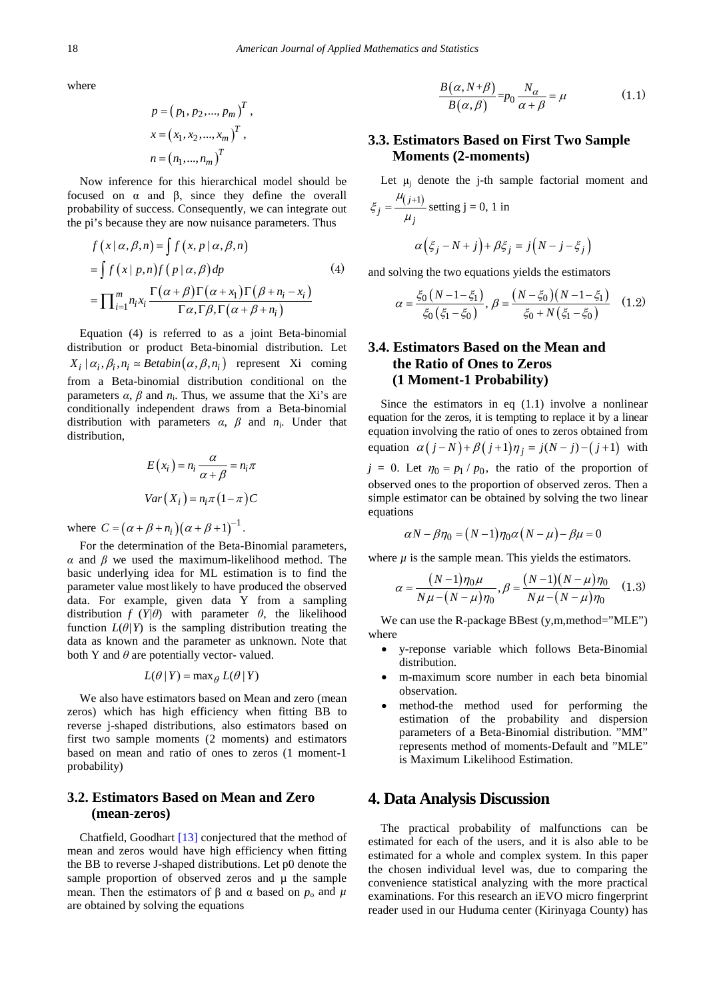where

$$
p = (p_1, p_2, ..., p_m)^T, \n x = (x_1, x_2, ..., x_m)^T, \n n = (n_1, ..., n_m)^T
$$

Now inference for this hierarchical model should be focused on α and β, since they define the overall probability of success. Consequently, we can integrate out the pi's because they are now nuisance parameters. Thus

$$
f(x | \alpha, \beta, n) = \int f(x, p | \alpha, \beta, n)
$$
  
= 
$$
\int f(x | p, n) f(p | \alpha, \beta) dp
$$
 (4)  
= 
$$
\prod_{i=1}^{m} n_i x_i \frac{\Gamma(\alpha + \beta) \Gamma(\alpha + x_1) \Gamma(\beta + n_i - x_i)}{\Gamma \alpha, \Gamma \beta, \Gamma(\alpha + \beta + n_i)}
$$

Equation (4) is referred to as a joint Beta-binomial distribution or product Beta-binomial distribution. Let  $X_i | \alpha_i, \beta_i, n_i \approx Betabin(\alpha, \beta, n_i)$  represent Xi coming from a Beta-binomial distribution conditional on the parameters  $\alpha$ ,  $\beta$  and  $n_i$ . Thus, we assume that the Xi's are conditionally independent draws from a Beta-binomial distribution with parameters *α*, *β* and *n*i. Under that distribution,

$$
E(x_i) = n_i \frac{\alpha}{\alpha + \beta} = n_i \pi
$$
  
 
$$
Var(X_i) = n_i \pi (1 - \pi) C
$$

where  $C = (\alpha + \beta + n_i)(\alpha + \beta + 1)^{-1}$ .

For the determination of the Beta-Binomial parameters, *α* and *β* we used the maximum-likelihood method. The basic underlying idea for ML estimation is to find the parameter value mostlikely to have produced the observed data. For example, given data Y from a sampling distribution  $f(Y|\theta)$  with parameter  $\theta$ , the likelihood function  $L(\theta|Y)$  is the sampling distribution treating the data as known and the parameter as unknown. Note that both Y and  $\theta$  are potentially vector- valued.

$$
L(\theta | Y) = \max_{\theta} L(\theta | Y)
$$

We also have estimators based on Mean and zero (mean zeros) which has high efficiency when fitting BB to reverse j-shaped distributions, also estimators based on first two sample moments (2 moments) and estimators based on mean and ratio of ones to zeros (1 moment-1 probability)

## **3.2. Estimators Based on Mean and Zero (mean-zeros)**

Chatfield, Goodhart [\[13\]](#page-7-4) conjectured that the method of mean and zeros would have high efficiency when fitting the BB to reverse J-shaped distributions. Let p0 denote the sample proportion of observed zeros and  $\mu$  the sample mean. Then the estimators of  $\beta$  and  $\alpha$  based on  $p_0$  and  $\mu$ are obtained by solving the equations

$$
\frac{B(\alpha, N+\beta)}{B(\alpha, \beta)} = p_0 \frac{N_{\alpha}}{\alpha + \beta} = \mu
$$
 (1.1)

## **3.3. Estimators Based on First Two Sample Moments (2-moments)**

Let  $\mu_i$  denote the j-th sample factorial moment and

$$
\xi_j = \frac{\mu_{(j+1)}}{\mu_j} \text{ setting } j = 0, 1 \text{ in}
$$

$$
\alpha \left( \xi_j - N + j \right) + \beta \xi_j = j \left( N - j - \xi_j \right)
$$

and solving the two equations yields the estimators

$$
\alpha = \frac{\xi_0 (N - 1 - \xi_1)}{\xi_0 (\xi_1 - \xi_0)}, \ \beta = \frac{(N - \xi_0)(N - 1 - \xi_1)}{\xi_0 + N(\xi_1 - \xi_0)} \tag{1.2}
$$

## **3.4. Estimators Based on the Mean and the Ratio of Ones to Zeros (1 Moment-1 Probability)**

Since the estimators in eq  $(1.1)$  involve a nonlinear equation for the zeros, it is tempting to replace it by a linear equation involving the ratio of ones to zeros obtained from equation  $\alpha ( j - N ) + \beta ( j + 1 ) \eta_j = j(N - j) - ( j + 1 )$  with  $j = 0$ . Let  $\eta_0 = p_1 / p_0$ , the ratio of the proportion of observed ones to the proportion of observed zeros. Then a simple estimator can be obtained by solving the two linear equations

$$
\alpha N - \beta \eta_0 = (N - 1) \eta_0 \alpha (N - \mu) - \beta \mu = 0
$$

where  $\mu$  is the sample mean. This yields the estimators.

$$
\alpha = \frac{(N-1)\eta_0 \mu}{N\mu - (N-\mu)\eta_0}, \beta = \frac{(N-1)(N-\mu)\eta_0}{N\mu - (N-\mu)\eta_0} \quad (1.3)
$$

We can use the R-package BBest (y,m,method="MLE") where

- y-reponse variable which follows Beta-Binomial distribution.
- m-maximum score number in each beta binomial observation.
- method-the method used for performing the estimation of the probability and dispersion parameters of a Beta-Binomial distribution. "MM" represents method of moments-Default and "MLE" is Maximum Likelihood Estimation.

#### **4. Data Analysis Discussion**

The practical probability of malfunctions can be estimated for each of the users, and it is also able to be estimated for a whole and complex system. In this paper the chosen individual level was, due to comparing the convenience statistical analyzing with the more practical examinations. For this research an iEVO micro fingerprint reader used in our Huduma center (Kirinyaga County) has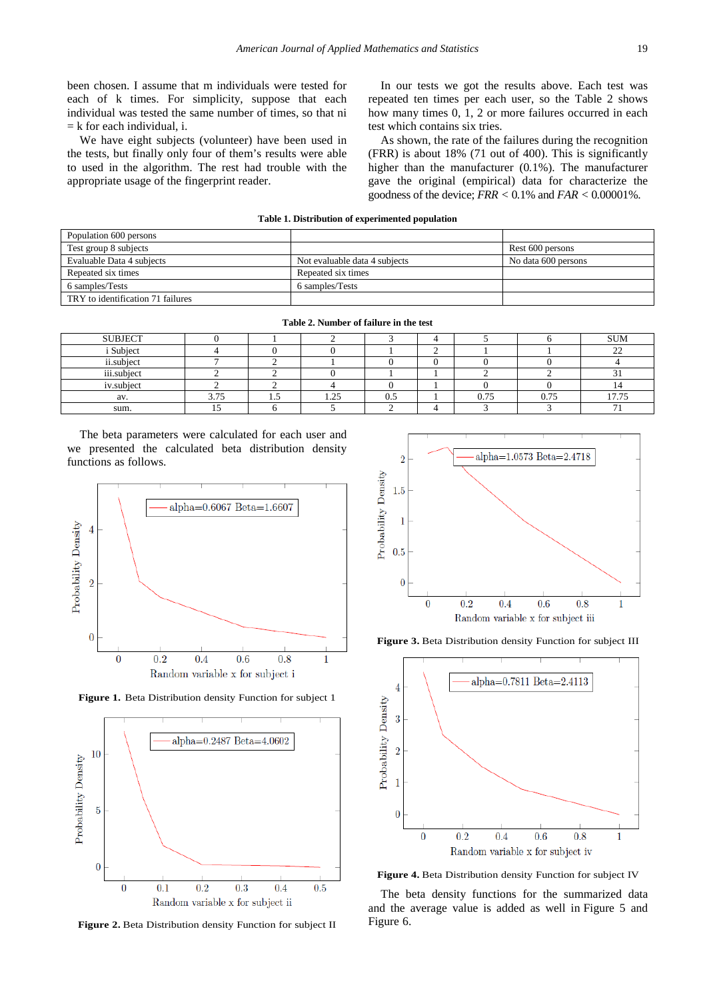been chosen. I assume that m individuals were tested for each of k times. For simplicity, suppose that each individual was tested the same number of times, so that ni  $=$  k for each individual, i.

We have eight subjects (volunteer) have been used in the tests, but finally only four of them's results were able to used in the algorithm. The rest had trouble with the appropriate usage of the fingerprint reader.

In our tests we got the results above. Each test was repeated ten times per each user, so the Table 2 shows how many times 0, 1, 2 or more failures occurred in each test which contains six tries.

As shown, the rate of the failures during the recognition (FRR) is about 18% (71 out of 400). This is significantly higher than the manufacturer (0*.*1%). The manufacturer gave the original (empirical) data for characterize the goodness of the device; *FRR <* 0*.*1% and *FAR <* 0*.*00001%.

| Table 1. Distribution of experimented population |                               |                     |  |  |  |  |
|--------------------------------------------------|-------------------------------|---------------------|--|--|--|--|
| Population 600 persons                           |                               |                     |  |  |  |  |
| Test group 8 subjects                            |                               | Rest 600 persons    |  |  |  |  |
| Evaluable Data 4 subjects                        | Not evaluable data 4 subjects | No data 600 persons |  |  |  |  |
| Repeated six times                               | Repeated six times            |                     |  |  |  |  |
| 6 samples/Tests                                  | 6 samples/Tests               |                     |  |  |  |  |
| TRY to identification 71 failures                |                               |                     |  |  |  |  |

| Table 2. Namber of famale in the lest |      |      |      |     |  |      |      |             |  |
|---------------------------------------|------|------|------|-----|--|------|------|-------------|--|
| <b>SUBJECT</b>                        |      |      |      |     |  |      |      | <b>SUM</b>  |  |
| <i>i</i> Subject                      |      |      |      |     |  |      |      | $\sim$<br>∸ |  |
| ii.subject                            |      |      |      |     |  |      |      |             |  |
| iii.subject                           |      |      |      |     |  |      |      |             |  |
| iv.subject                            |      |      |      |     |  |      |      |             |  |
| av.                                   | 3.75 | ر. د | 1.25 | U.J |  | 0.75 | 0.75 | 17.75       |  |
| sum.                                  |      |      |      |     |  |      |      |             |  |
|                                       |      |      |      |     |  |      |      |             |  |

**Table 2. Number of failure in the test**

The beta parameters were calculated for each user and we presented the calculated beta distribution density functions as follows.







**Figure 2.** Beta Distribution density Function for subject II



**Figure 3.** Beta Distribution density Function for subject III



**Figure 4.** Beta Distribution density Function for subject IV

The beta density functions for the summarized data and the average value is added as well in Figure 5 and Figure 6.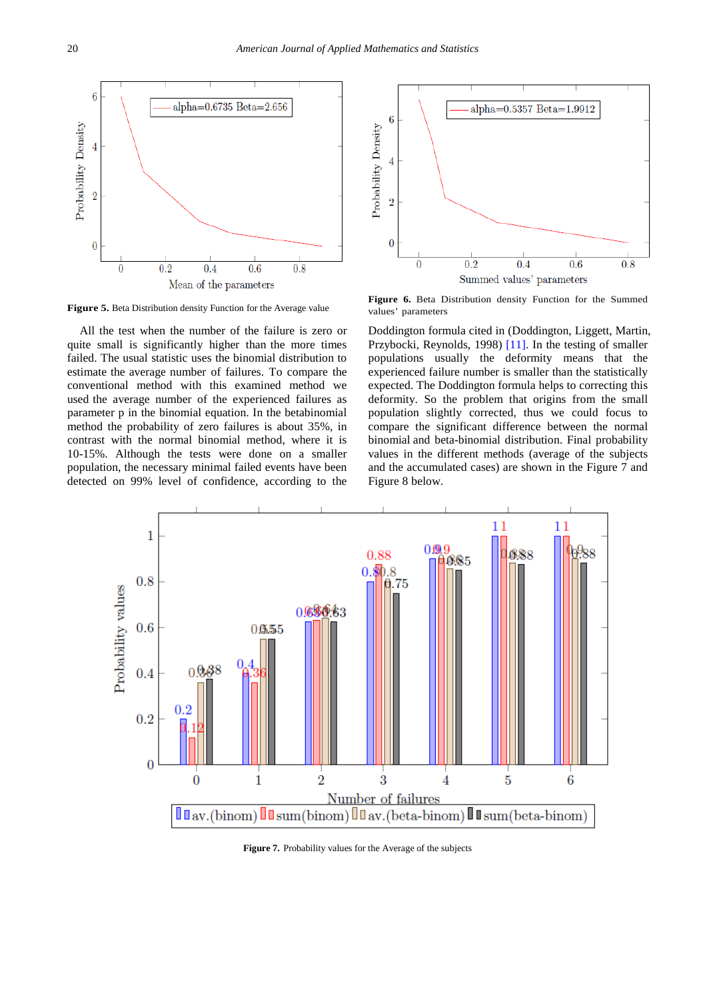



All the test when the number of the failure is zero or quite small is significantly higher than the more times failed. The usual statistic uses the binomial distribution to estimate the average number of failures. To compare the conventional method with this examined method we used the average number of the experienced failures as parameter p in the binomial equation. In the betabinomial method the probability of zero failures is about 35%, in contrast with the normal binomial method, where it is 10-15%. Although the tests were done on a smaller population, the necessary minimal failed events have been detected on 99% level of confidence, according to the

**Figure 5.** Beta Distribution density Function density Function density Function density Function density Function density Function for the Average value values' parameters values' parameters

Doddington formula cited in (Doddington, Liggett, Martin, Przybocki, Reynolds, 1998) [\[11\].](#page-7-5) In the testing of smaller populations usually the deformity means that the experienced failure number is smaller than the statistically expected. The Doddington formula helps to correcting this deformity. So the problem that origins from the small population slightly corrected, thus we could focus to compare the significant difference between the normal binomial and beta-binomial distribution. Final probability values in the different methods (average of the subjects and the accumulated cases) are shown in the Figure 7 and Figure 8 below.



Figure 7. Probability values for the Average of the subjects